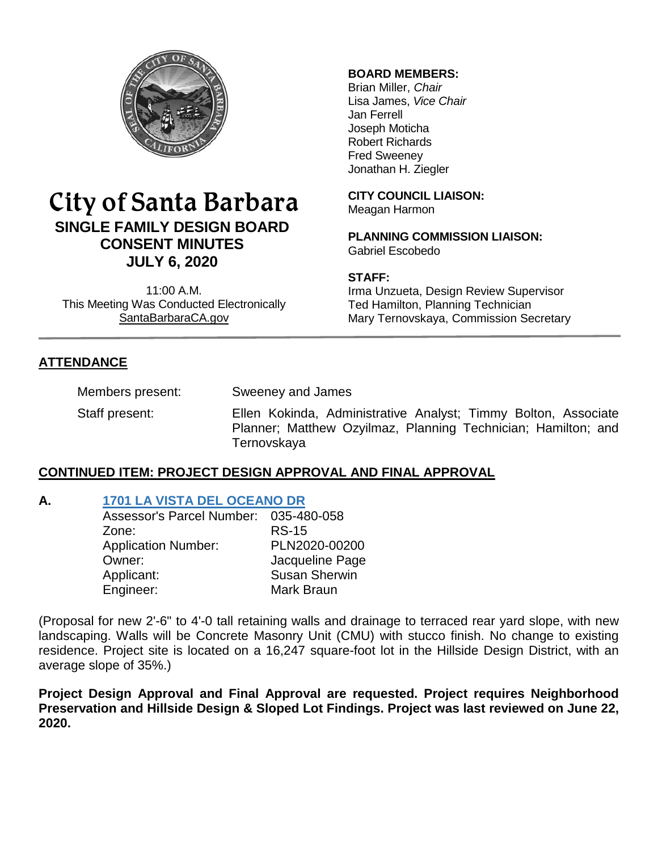

# City of Santa Barbara **SINGLE FAMILY DESIGN BOARD CONSENT MINUTES JULY 6, 2020**

11:00 A.M. This Meeting Was Conducted Electronically [SantaBarbaraCA.gov](http://www.santabarbaraca.gov/)

#### **BOARD MEMBERS:**

Brian Miller, *Chair* Lisa James, *Vice Chair* Jan Ferrell Joseph Moticha Robert Richards Fred Sweeney Jonathan H. Ziegler

**CITY COUNCIL LIAISON:** Meagan Harmon

**PLANNING COMMISSION LIAISON:** Gabriel Escobedo

#### **STAFF:**

Irma Unzueta, Design Review Supervisor Ted Hamilton, Planning Technician Mary Ternovskaya, Commission Secretary

# **ATTENDANCE**

Members present: Sweeney and James

Staff present: Ellen Kokinda, Administrative Analyst; Timmy Bolton, Associate Planner; Matthew Ozyilmaz, Planning Technician; Hamilton; and **Ternovskaya** 

## **CONTINUED ITEM: PROJECT DESIGN APPROVAL AND FINAL APPROVAL**

## **A. [1701 LA VISTA DEL OCEANO DR](https://www.santabarbaraca.gov/SBdocuments/Advisory_Groups/Single_Family_Design_Board/Archive/2020_Archives/03_Architectural_Drawings/2020-07-06_July_6_2020_1701_La_Vista_Del_Oceano.pdf)**

| PLN2020-00200        |
|----------------------|
| Jacqueline Page      |
| <b>Susan Sherwin</b> |
|                      |
|                      |

(Proposal for new 2'-6" to 4'-0 tall retaining walls and drainage to terraced rear yard slope, with new landscaping. Walls will be Concrete Masonry Unit (CMU) with stucco finish. No change to existing residence. Project site is located on a 16,247 square-foot lot in the Hillside Design District, with an average slope of 35%.)

**Project Design Approval and Final Approval are requested. Project requires Neighborhood Preservation and Hillside Design & Sloped Lot Findings. Project was last reviewed on June 22, 2020.**